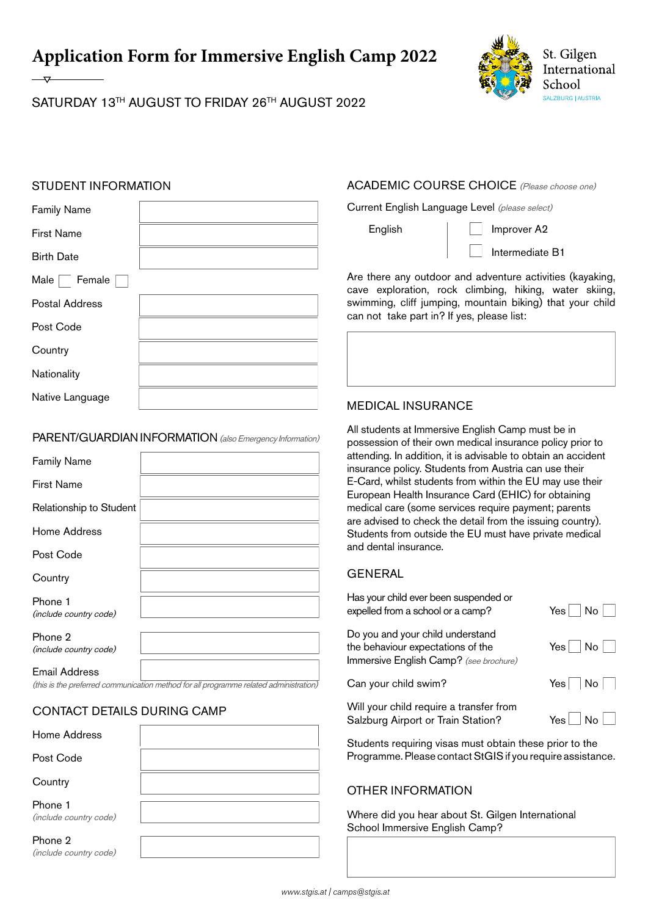**Application Form for Immersive English Camp 2022** 



# SATURDAY 13TH AUGUST TO FRIDAY 26TH AUGUST 2022

## STUDENT INFORMATION

| <b>Family Name</b> |  |
|--------------------|--|
| <b>First Name</b>  |  |
| <b>Birth Date</b>  |  |
| Male<br>Female     |  |
| Postal Address     |  |
| Post Code          |  |
| Country            |  |
| Nationality        |  |
| Native Language    |  |
|                    |  |

#### PARENT/GUARDIAN INFORMATION (also Emergency Information)

| <b>Family Name</b>                |  |
|-----------------------------------|--|
| <b>First Name</b>                 |  |
| Relationship to Student           |  |
| Home Address                      |  |
| Post Code                         |  |
| Country                           |  |
| Phone 1<br>(include country code) |  |
| Phone 2<br>(include country code) |  |
| Email Address                     |  |

(this is the preferred communication method for all programme related administration)

## CONTACT DETAILS DURING CAMP

| Home Address                      |  |
|-----------------------------------|--|
| Post Code                         |  |
| Country                           |  |
| Phone 1<br>(include country code) |  |
| Phone 2<br>(include country code) |  |

## ACADEMIC COURSE CHOICE (Please choose one)

Current English Language Level (please select)

English | | Improver A2

Intermediate B1

Are there any outdoor and adventure activities (kayaking, cave exploration, rock climbing, hiking, water skiing, swimming, cliff jumping, mountain biking) that your child can not take part in? If yes, please list:



## MEDICAL INSURANCE

All students at Immersive English Camp must be in possession of their own medical insurance policy prior to attending. In addition, it is advisable to obtain an accident insurance policy. Students from Austria can use their E-Card, whilst students from within the EU may use their European Health Insurance Card (EHIC) for obtaining medical care (some services require payment; parents are advised to check the detail from the issuing country). Students from outside the EU must have private medical and dental insurance.

## GENERAL

| Has your child ever been suspended or                                                                           | No.                                  |
|-----------------------------------------------------------------------------------------------------------------|--------------------------------------|
| expelled from a school or a camp?                                                                               | Yesl                                 |
| Do you and your child understand<br>the behaviour expectations of the<br>Immersive English Camp? (see brochure) | $\lfloor N_{\Omega} \rfloor$<br>Yesl |
| Can your child swim?                                                                                            | $Yes \mid No \mid$                   |
| Will your child require a transfer from                                                                         | $N_{\Omega}$                         |
| Salzburg Airport or Train Station?                                                                              | Yes l                                |

Students requiring visas must obtain these prior to the Programme. Please contact StGIS if you require assistance.

## OTHER INFORMATION

Where did you hear about St. Gilgen International School Immersive English Camp?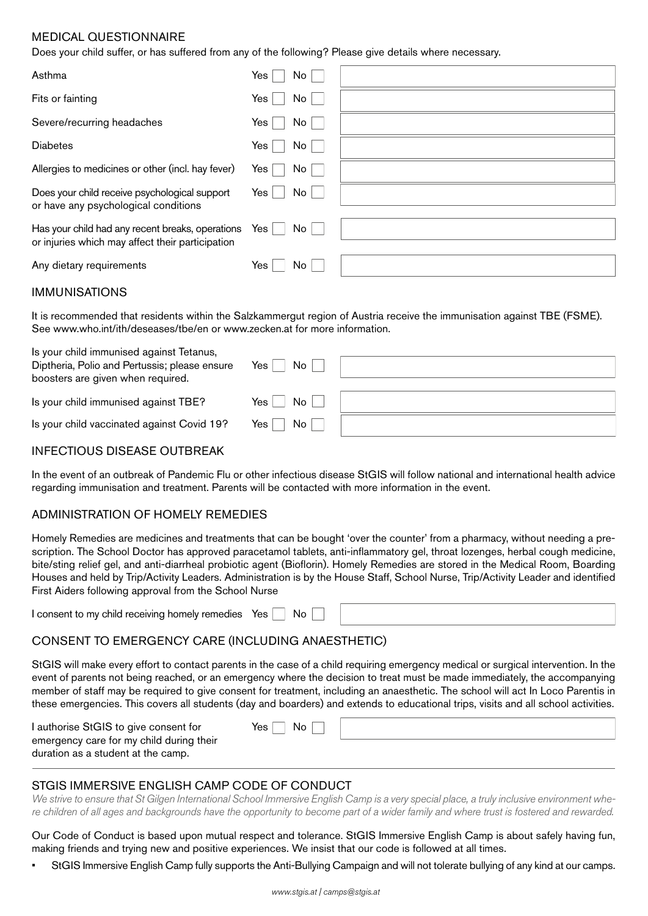## MEDICAL QUESTIONNAIRE

Does your child suffer, or has suffered from any of the following? Please give details where necessary.

| Asthma                                                                                               | Yes<br>No    |  |
|------------------------------------------------------------------------------------------------------|--------------|--|
| Fits or fainting                                                                                     | Yes<br>No    |  |
| Severe/recurring headaches                                                                           | Yes  <br>No  |  |
| <b>Diabetes</b>                                                                                      | No<br>Yes    |  |
| Allergies to medicines or other (incl. hay fever)                                                    | No<br>Yes l  |  |
| Does your child receive psychological support<br>or have any psychological conditions                | No<br>Yes    |  |
| Has your child had any recent breaks, operations<br>or injuries which may affect their participation | No<br>Yes    |  |
| Any dietary requirements                                                                             | Yes l<br>No. |  |

#### IMMUNISATIONS

It is recommended that residents within the Salzkammergut region of Austria receive the immunisation against TBE (FSME). See [www.who.int/ith/deseases/tbe/en](http://www.who.int/ith/deseases/tbe/en) or [www.zecken.at](http://www.zecken.at) for more information.

| Is your child immunised against Tetanus,<br>Diptheria, Polio and Pertussis; please ensure<br>boosters are given when required. | No<br>Yes         |  |
|--------------------------------------------------------------------------------------------------------------------------------|-------------------|--|
| Is your child immunised against TBE?                                                                                           | No<br>Yes $\vert$ |  |
| Is your child vaccinated against Covid 19?                                                                                     | No<br>Yes $ $     |  |

#### INFECTIOUS DISEASE OUTBREAK

In the event of an outbreak of Pandemic Flu or other infectious disease StGIS will follow national and international health advice regarding immunisation and treatment. Parents will be contacted with more information in the event.

#### ADMINISTRATION OF HOMELY REMEDIES

Homely Remedies are medicines and treatments that can be bought 'over the counter' from a pharmacy, without needing a prescription. The School Doctor has approved paracetamol tablets, anti-inflammatory gel, throat lozenges, herbal cough medicine, bite/sting relief gel, and anti-diarrheal probiotic agent (Bioflorin). Homely Remedies are stored in the Medical Room, Boarding Houses and held by Trip/Activity Leaders. Administration is by the House Staff, School Nurse, Trip/Activity Leader and identified First Aiders following approval from the School Nurse

I consent to my child receiving homely remedies Yes No

## CONSENT TO EMERGENCY CARE (INCLUDING ANAESTHETIC)

StGIS will make every effort to contact parents in the case of a child requiring emergency medical or surgical intervention. In the event of parents not being reached, or an emergency where the decision to treat must be made immediately, the accompanying member of staff may be required to give consent for treatment, including an anaesthetic. The school will act In Loco Parentis in these emergencies. This covers all students (day and boarders) and extends to educational trips, visits and all school activities.

| I authorise StGIS to give consent for                                          | No.<br>Yes <sub>1</sub> |  |
|--------------------------------------------------------------------------------|-------------------------|--|
| emergency care for my child during their<br>duration as a student at the camp. |                         |  |

## STGIS IMMERSIVE ENGLISH CAMP CODE OF CONDUCT

*We strive to ensure that St Gilgen International School Immersive English Camp is a very special place, a truly inclusive environment where children of all ages and backgrounds have the opportunity to become part of a wider family and where trust is fostered and rewarded.*

Our Code of Conduct is based upon mutual respect and tolerance. StGIS Immersive English Camp is about safely having fun, making friends and trying new and positive experiences. We insist that our code is followed at all times.

• StGIS Immersive English Camp fully supports the Anti-Bullying Campaign and will not tolerate bullying of any kind at our camps.